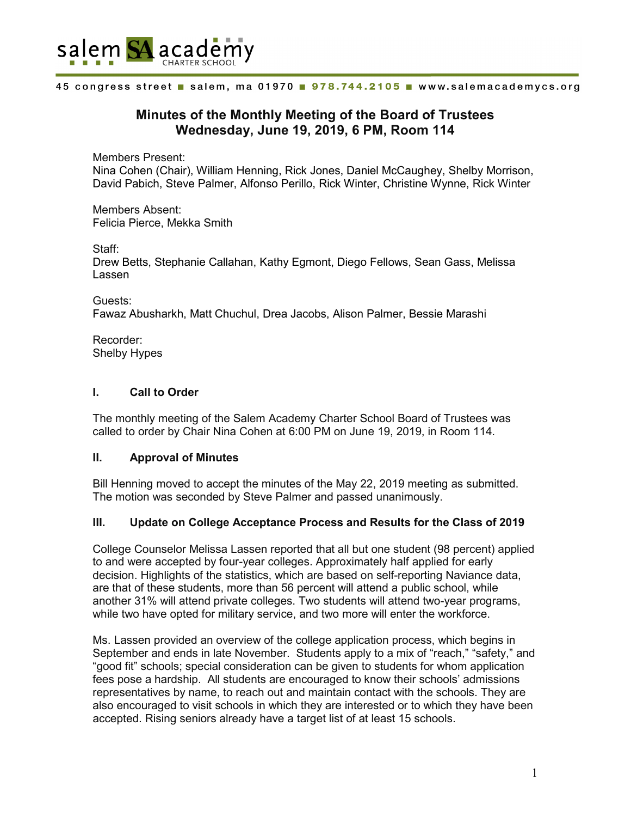

# **Minutes of the Monthly Meeting of the Board of Trustees Wednesday, June 19, 2019, 6 PM, Room 114**

Members Present: Nina Cohen (Chair), William Henning, Rick Jones, Daniel McCaughey, Shelby Morrison, David Pabich, Steve Palmer, Alfonso Perillo, Rick Winter, Christine Wynne, Rick Winter

Members Absent: Felicia Pierce, Mekka Smith

Staff:

Drew Betts, Stephanie Callahan, Kathy Egmont, Diego Fellows, Sean Gass, Melissa Lassen

Guests: Fawaz Abusharkh, Matt Chuchul, Drea Jacobs, Alison Palmer, Bessie Marashi

Recorder: Shelby Hypes

# **I. Call to Order**

The monthly meeting of the Salem Academy Charter School Board of Trustees was called to order by Chair Nina Cohen at 6:00 PM on June 19, 2019, in Room 114.

# **II. Approval of Minutes**

Bill Henning moved to accept the minutes of the May 22, 2019 meeting as submitted. The motion was seconded by Steve Palmer and passed unanimously.

# **III. Update on College Acceptance Process and Results for the Class of 2019**

College Counselor Melissa Lassen reported that all but one student (98 percent) applied to and were accepted by four-year colleges. Approximately half applied for early decision. Highlights of the statistics, which are based on self-reporting Naviance data, are that of these students, more than 56 percent will attend a public school, while another 31% will attend private colleges. Two students will attend two-year programs, while two have opted for military service, and two more will enter the workforce.

Ms. Lassen provided an overview of the college application process, which begins in September and ends in late November. Students apply to a mix of "reach," "safety," and "good fit" schools; special consideration can be given to students for whom application fees pose a hardship. All students are encouraged to know their schools' admissions representatives by name, to reach out and maintain contact with the schools. They are also encouraged to visit schools in which they are interested or to which they have been accepted. Rising seniors already have a target list of at least 15 schools.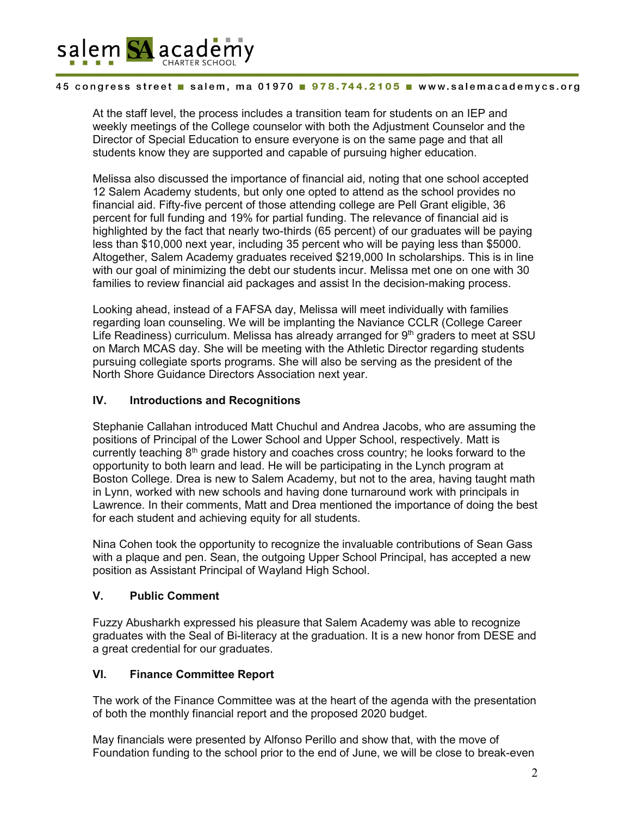

At the staff level, the process includes a transition team for students on an IEP and weekly meetings of the College counselor with both the Adjustment Counselor and the Director of Special Education to ensure everyone is on the same page and that all students know they are supported and capable of pursuing higher education.

Melissa also discussed the importance of financial aid, noting that one school accepted 12 Salem Academy students, but only one opted to attend as the school provides no financial aid. Fifty-five percent of those attending college are Pell Grant eligible, 36 percent for full funding and 19% for partial funding. The relevance of financial aid is highlighted by the fact that nearly two-thirds (65 percent) of our graduates will be paying less than \$10,000 next year, including 35 percent who will be paying less than \$5000. Altogether, Salem Academy graduates received \$219,000 In scholarships. This is in line with our goal of minimizing the debt our students incur. Melissa met one on one with 30 families to review financial aid packages and assist In the decision-making process.

Looking ahead, instead of a FAFSA day, Melissa will meet individually with families regarding loan counseling. We will be implanting the Naviance CCLR (College Career Life Readiness) curriculum. Melissa has already arranged for  $9<sup>th</sup>$  graders to meet at SSU on March MCAS day. She will be meeting with the Athletic Director regarding students pursuing collegiate sports programs. She will also be serving as the president of the North Shore Guidance Directors Association next year.

# **IV. Introductions and Recognitions**

Stephanie Callahan introduced Matt Chuchul and Andrea Jacobs, who are assuming the positions of Principal of the Lower School and Upper School, respectively. Matt is currently teaching  $8<sup>th</sup>$  grade history and coaches cross country; he looks forward to the opportunity to both learn and lead. He will be participating in the Lynch program at Boston College. Drea is new to Salem Academy, but not to the area, having taught math in Lynn, worked with new schools and having done turnaround work with principals in Lawrence. In their comments, Matt and Drea mentioned the importance of doing the best for each student and achieving equity for all students.

Nina Cohen took the opportunity to recognize the invaluable contributions of Sean Gass with a plaque and pen. Sean, the outgoing Upper School Principal, has accepted a new position as Assistant Principal of Wayland High School.

# **V. Public Comment**

Fuzzy Abusharkh expressed his pleasure that Salem Academy was able to recognize graduates with the Seal of Bi-literacy at the graduation. It is a new honor from DESE and a great credential for our graduates.

# **VI. Finance Committee Report**

The work of the Finance Committee was at the heart of the agenda with the presentation of both the monthly financial report and the proposed 2020 budget.

May financials were presented by Alfonso Perillo and show that, with the move of Foundation funding to the school prior to the end of June, we will be close to break-even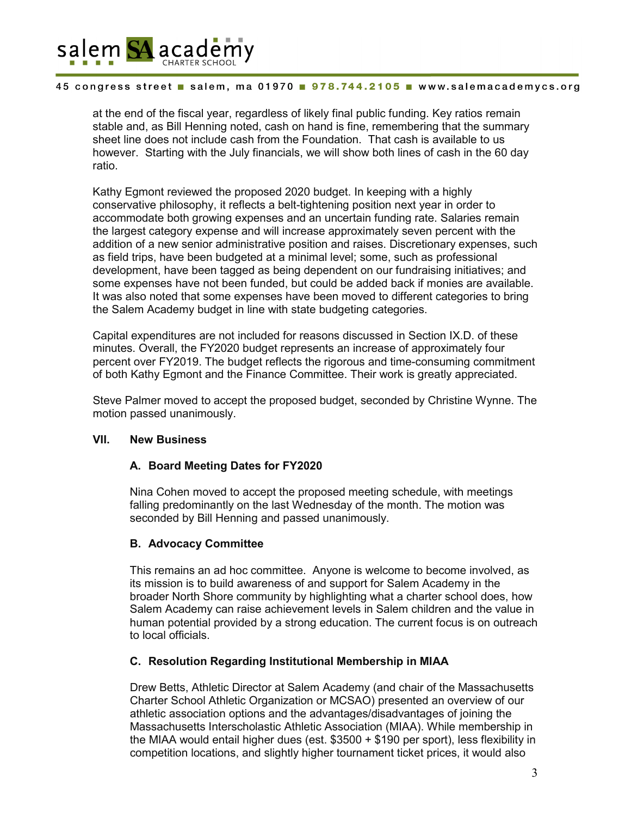

at the end of the fiscal year, regardless of likely final public funding. Key ratios remain stable and, as Bill Henning noted, cash on hand is fine, remembering that the summary sheet line does not include cash from the Foundation. That cash is available to us however. Starting with the July financials, we will show both lines of cash in the 60 day ratio.

Kathy Egmont reviewed the proposed 2020 budget. In keeping with a highly conservative philosophy, it reflects a belt-tightening position next year in order to accommodate both growing expenses and an uncertain funding rate. Salaries remain the largest category expense and will increase approximately seven percent with the addition of a new senior administrative position and raises. Discretionary expenses, such as field trips, have been budgeted at a minimal level; some, such as professional development, have been tagged as being dependent on our fundraising initiatives; and some expenses have not been funded, but could be added back if monies are available. It was also noted that some expenses have been moved to different categories to bring the Salem Academy budget in line with state budgeting categories.

Capital expenditures are not included for reasons discussed in Section IX.D. of these minutes. Overall, the FY2020 budget represents an increase of approximately four percent over FY2019. The budget reflects the rigorous and time-consuming commitment of both Kathy Egmont and the Finance Committee. Their work is greatly appreciated.

Steve Palmer moved to accept the proposed budget, seconded by Christine Wynne. The motion passed unanimously.

# **VII. New Business**

# **A. Board Meeting Dates for FY2020**

Nina Cohen moved to accept the proposed meeting schedule, with meetings falling predominantly on the last Wednesday of the month. The motion was seconded by Bill Henning and passed unanimously.

# **B. Advocacy Committee**

This remains an ad hoc committee. Anyone is welcome to become involved, as its mission is to build awareness of and support for Salem Academy in the broader North Shore community by highlighting what a charter school does, how Salem Academy can raise achievement levels in Salem children and the value in human potential provided by a strong education. The current focus is on outreach to local officials.

# **C. Resolution Regarding Institutional Membership in MIAA**

Drew Betts, Athletic Director at Salem Academy (and chair of the Massachusetts Charter School Athletic Organization or MCSAO) presented an overview of our athletic association options and the advantages/disadvantages of joining the Massachusetts Interscholastic Athletic Association (MIAA). While membership in the MIAA would entail higher dues (est. \$3500 + \$190 per sport), less flexibility in competition locations, and slightly higher tournament ticket prices, it would also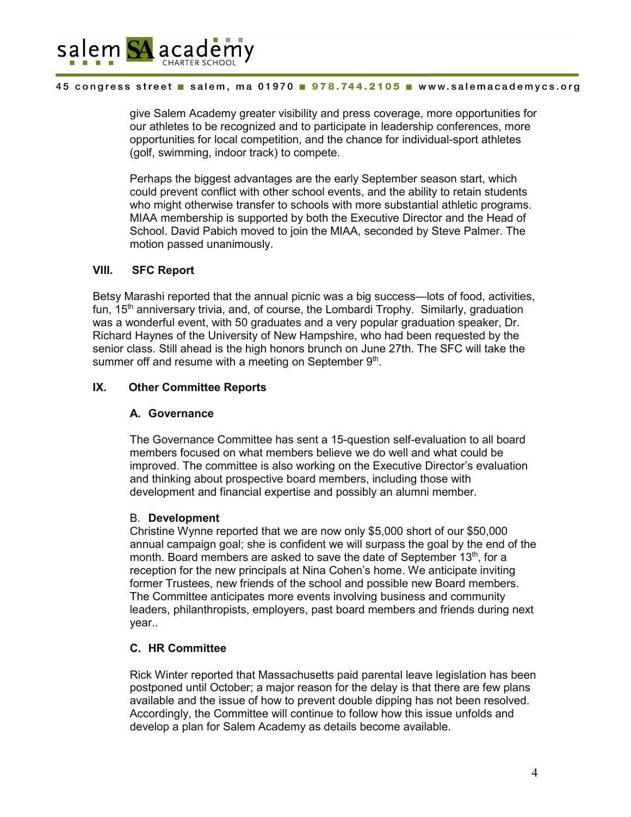

give Salem Academy greater visibility and press coverage, more opportunities for our athletes to be recognized and to participate in leadership conferences, more opportunities for local competition, and the chance for individual-sport athletes (golf, swimming, indoor track) to compete.

Perhaps the biggest advantages are the early September season start, which could prevent conflict with other school events, and the ability to retain students who might otherwise transfer to schools with more substantial athletic programs. MIAA membership is supported by both the Executive Director and the Head of School. David Pabich moved to join the MIAA, seconded by Steve Palmer. The motion passed unanimously.

# **VIII. SFC Report**

Betsy Marashi reported that the annual picnic was a big success—lots of food, activities, fun, 15<sup>th</sup> anniversary trivia, and, of course, the Lombardi Trophy. Similarly, graduation was a wonderful event, with 50 graduates and a very popular graduation speaker, Dr. Richard Haynes of the University of New Hampshire, who had been requested by the senior class. Still ahead is the high honors brunch on June 27th. The SFC will take the summer off and resume with a meeting on September 9th.

# **IX. Other Committee Reports**

# **A. Governance**

The Governance Committee has sent a 15-question self-evaluation to all board members focused on what members believe we do well and what could be improved. The committee is also working on the Executive Director's evaluation and thinking about prospective board members, including those with development and financial expertise and possibly an alumni member.

# B. **Development**

Christine Wynne reported that we are now only \$5,000 short of our \$50,000 annual campaign goal; she is confident we will surpass the goal by the end of the month. Board members are asked to save the date of September  $13<sup>th</sup>$ , for a reception for the new principals at Nina Cohen's home. We anticipate inviting former Trustees, new friends of the school and possible new Board members. The Committee anticipates more events involving business and community leaders, philanthropists, employers, past board members and friends during next year..

# **C. HR Committee**

Rick Winter reported that Massachusetts paid parental leave legislation has been postponed until October; a major reason for the delay is that there are few plans available and the issue of how to prevent double dipping has not been resolved. Accordingly, the Committee will continue to follow how this issue unfolds and develop a plan for Salem Academy as details become available.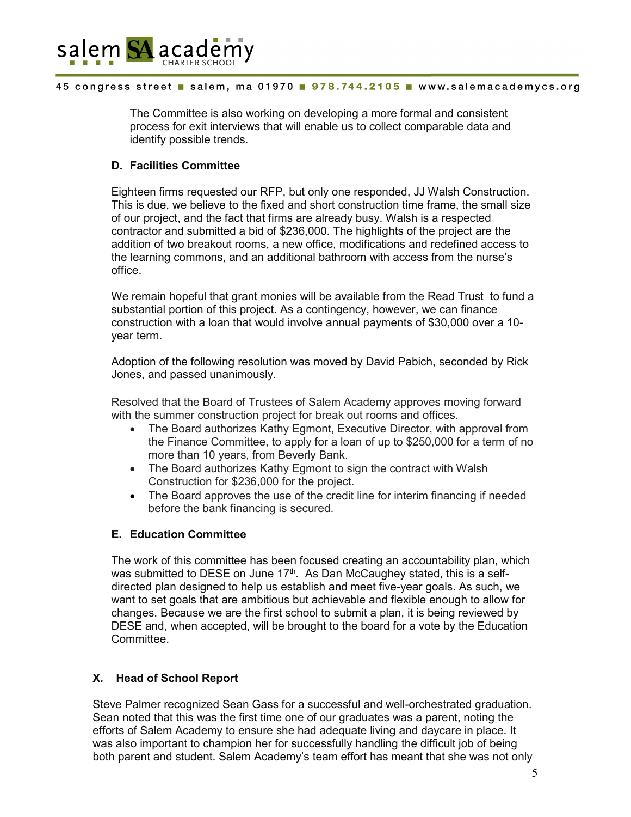

The Committee is also working on developing a more formal and consistent process for exit interviews that will enable us to collect comparable data and identify possible trends.

# **D. Facilities Committee**

Eighteen firms requested our RFP, but only one responded, JJ Walsh Construction. This is due, we believe to the fixed and short construction time frame, the small size of our project, and the fact that firms are already busy. Walsh is a respected contractor and submitted a bid of \$236,000. The highlights of the project are the addition of two breakout rooms, a new office, modifications and redefined access to the learning commons, and an additional bathroom with access from the nurse's office.

We remain hopeful that grant monies will be available from the Read Trust to fund a substantial portion of this project. As a contingency, however, we can finance construction with a loan that would involve annual payments of \$30,000 over a 10 year term.

Adoption of the following resolution was moved by David Pabich, seconded by Rick Jones, and passed unanimously.

Resolved that the Board of Trustees of Salem Academy approves moving forward with the summer construction project for break out rooms and offices.

- The Board authorizes Kathy Egmont, Executive Director, with approval from the Finance Committee, to apply for a loan of up to \$250,000 for a term of no more than 10 years, from Beverly Bank.
- The Board authorizes Kathy Egmont to sign the contract with Walsh Construction for \$236,000 for the project.
- The Board approves the use of the credit line for interim financing if needed before the bank financing is secured.

# **E. Education Committee**

The work of this committee has been focused creating an accountability plan, which was submitted to DESE on June 17<sup>th</sup>. As Dan McCaughey stated, this is a selfdirected plan designed to help us establish and meet five-year goals. As such, we want to set goals that are ambitious but achievable and flexible enough to allow for changes. Because we are the first school to submit a plan, it is being reviewed by DESE and, when accepted, will be brought to the board for a vote by the Education Committee.

# **X***.* **Head of School Report**

Steve Palmer recognized Sean Gass for a successful and well-orchestrated graduation. Sean noted that this was the first time one of our graduates was a parent, noting the efforts of Salem Academy to ensure she had adequate living and daycare in place. It was also important to champion her for successfully handling the difficult job of being both parent and student. Salem Academy's team effort has meant that she was not only